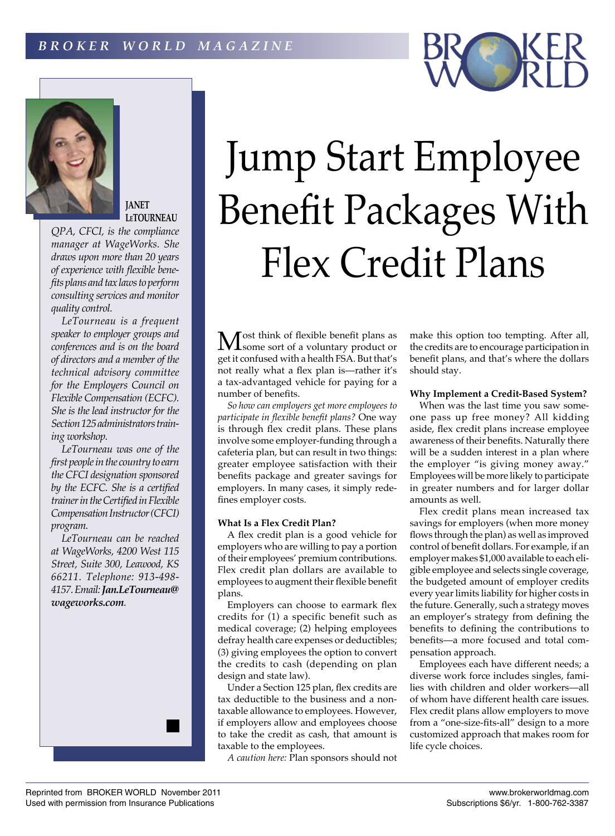

# **JANET LeTOURNEAU**

*QPA, CFCI, is the compliance manager at WageWorks. She draws upon more than 20 years of experience with flexible benefits plans and tax laws to perform consulting services and monitor quality control.*

*LeTourneau is a frequent speaker to employer groups and conferences and is on the board of directors and a member of the technical advisory committee for the Employers Council on Flexible Compensation (ECFC). She is the lead instructor for the Section 125 administrators training workshop.*

*LeTourneau was one of the first people in the country to earn the CFCI designation sponsored by the ECFC. She is a certified trainer in the Certified in Flexible Compensation Instructor (CFCI) program.*

*LeTourneau can be reached at WageWorks, 4200 West 115 Street, Suite 300, Leawood, KS 66211. Telephone: 913-498- 4157. Email: Jan.LeTourneau@ wageworks.com.*



Jump Start Employee

Benefit Packages With

*So how can employers get more employees to participate in flexible benefit plans?* One way is through flex credit plans. These plans involve some employer-funding through a cafeteria plan, but can result in two things: greater employee satisfaction with their benefits package and greater savings for employers. In many cases, it simply redefines employer costs.

## **What Is a Flex Credit Plan?**

A flex credit plan is a good vehicle for employers who are willing to pay a portion of their employees' premium contributions. Flex credit plan dollars are available to employees to augment their flexible benefit plans.

Employers can choose to earmark flex credits for (1) a specific benefit such as medical coverage; (2) helping employees defray health care expenses or deductibles; (3) giving employees the option to convert the credits to cash (depending on plan design and state law).

Under a Section 125 plan, flex credits are tax deductible to the business and a nontaxable allowance to employees. However, if employers allow and employees choose to take the credit as cash, that amount is taxable to the employees.

*A caution here:* Plan sponsors should not

make this option too tempting. After all, the credits are to encourage participation in benefit plans, and that's where the dollars

## **Why Implement a Credit-Based System?**

When was the last time you saw someone pass up free money? All kidding aside, flex credit plans increase employee awareness of their benefits. Naturally there will be a sudden interest in a plan where the employer "is giving money away." Employees will be more likely to participate in greater numbers and for larger dollar amounts as well.

Flex credit plans mean increased tax savings for employers (when more money flows through the plan) as well as improved control of benefit dollars. For example, if an employer makes \$1,000 available to each eligible employee and selects single coverage, the budgeted amount of employer credits every year limits liability for higher costs in the future. Generally, such a strategy moves an employer's strategy from defining the benefits to defining the contributions to benefits—a more focused and total compensation approach.

Employees each have different needs; a diverse work force includes singles, families with children and older workers—all of whom have different health care issues. Flex credit plans allow employers to move from a "one-size-fits-all" design to a more customized approach that makes room for life cycle choices.